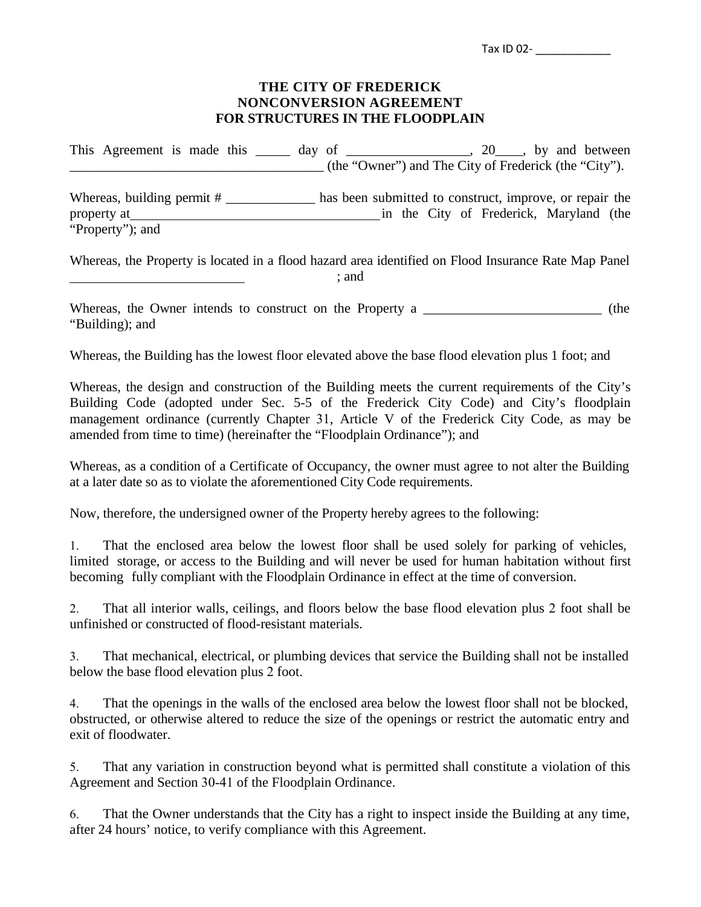| Tax ID 02- |  |  |  |  |  |
|------------|--|--|--|--|--|
|            |  |  |  |  |  |

## **THE CITY OF FREDERICK NONCONVERSION AGREEMENT FOR STRUCTURES IN THE FLOODPLAIN**

This Agreement is made this \_\_\_\_\_ day of \_\_\_\_\_\_\_\_\_\_\_\_\_\_\_, 20\_\_\_, by and between \_\_\_\_\_\_\_\_\_\_\_\_\_\_\_\_\_\_\_\_\_\_\_\_\_\_\_\_\_\_\_\_\_\_\_\_\_ (the "Owner") and The City of Frederick (the "City"). Whereas, building permit # \_\_\_\_\_\_\_\_\_\_\_\_\_ has been submitted to construct, improve, or repair the property at in the City of Frederick*,* Maryland (the "Property"); and

Whereas, the Property is located in a flood hazard area identified on Flood Insurance Rate Map Panel ; and

Whereas, the Owner intends to construct on the Property a \_\_\_\_\_\_\_\_\_\_\_\_\_\_\_\_\_\_\_\_\_\_\_\_\_\_ (the "Building); and

Whereas, the Building has the lowest floor elevated above the base flood elevation plus 1 foot; and

Whereas, the design and construction of the Building meets the current requirements of the City's Building Code (adopted under Sec. 5-5 of the Frederick City Code) and City's floodplain management ordinance (currently Chapter 31, Article V of the Frederick City Code, as may be amended from time to time) (hereinafter the "Floodplain Ordinance"); and

Whereas, as a condition of a Certificate of Occupancy, the owner must agree to not alter the Building at a later date so as to violate the aforementioned City Code requirements.

Now, therefore, the undersigned owner of the Property hereby agrees to the following:

1. That the enclosed area below the lowest floor shall be used solely for parking of vehicles, limited storage, or access to the Building and will never be used for human habitation without first becoming fully compliant with the Floodplain Ordinance in effect at the time of conversion.

2. That all interior walls, ceilings, and floors below the base flood elevation plus 2 foot shall be unfinished or constructed of flood-resistant materials.

3. That mechanical, electrical, or plumbing devices that service the Building shall not be installed below the base flood elevation plus 2 foot.

4. That the openings in the walls of the enclosed area below the lowest floor shall not be blocked, obstructed, or otherwise altered to reduce the size of the openings or restrict the automatic entry and exit of floodwater.

5. That any variation in construction beyond what is permitted shall constitute a violation of this Agreement and Section 30-41 of the Floodplain Ordinance.

6. That the Owner understands that the City has a right to inspect inside the Building at any time, after 24 hours' notice, to verify compliance with this Agreement.